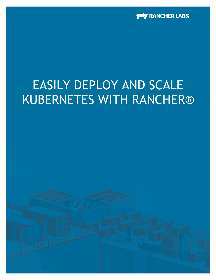

# EASILY DEPLOY AND SCALE KUBERNETES WITH RANCHER®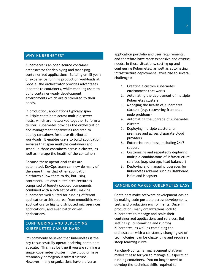## **WHY KUBERNETES?**

Kubernetes is an open-source container orchestrator for deploying and managing containerized applications. Building on 15 years of experience running production workloads at Google, the orchestrator provides advantages inherent to containers, while enabling users to build container-ready development environments which are customized to their needs.

In production, applications typically span multiple containers across multiple server hosts, which are networked together to form a cluster. Kubernetes provides the orchestration and management capabilities required to deploy containers for these distributed workloads. It enables users to build application services that span multiple containers and schedule those containers across a cluster, as well as manage the health of the containers.

Because these operational tasks are automated, DevOps team can now do many of the same things that other application platforms allow them to do, but using containers. Its distributed architecture is comprised of loosely coupled components combined with a rich set of APIs, making Kubernetes well suited for running different application architectures; from monolithic web applications to highly distributed microservices applications, and even batch driven applications.

# **CONFIGURING AND DEPLOYING KUBERNETES CAN BE HARD**

It's commonly believed that Kubernetes is the key to successfully operationalizing containers at scale. This may be true if you are running a single Kubernetes cluster in the cloud or have reasonably homogenous infrastructure. However, many organizations have a diverse

application portfolio and user requirements, and therefore have more expansive and diverse needs. In these situations, setting up and configuring Kubernetes, as well as automating infrastructure deployment, gives rise to several challenges:

- 1. Creating a custom Kubernetes environment that works
- 2. Automating the deployment of multiple Kubernetes clusters
- 3. Managing the health of Kubernetes clusters (e.g. recovering from etcd node problems)
- 4. Automating the upgrade of Kubernetes clusters
- 5. Deploying multiple clusters, on premises and across disparate cloud providers
- 6. Enterprise readiness, including 24x7 support
- 7. Customizing and repeatedly deploying multiple combinations of infrastructure services (e.g. storage, load balancer)
- 8. Deploying and managing upgrades for Kubernetes add-ons such as Dashboard, Helm and Heapster

# **RANCHER® MAKES KUBERNETES EASY**

Containers make software development easier by making code portable across development, test, and production environments. Once in production, many organizations look to Kubernetes to manage and scale their containerized applications and services. But setting up, customizing and running Kubernetes, as well as combining the orchestrator with a constantly changing set of technologies, can be challenging and require a steep learning curve.

Rancher® container management platform makes it easy for you to manage all aspects of running containers. You no longer need to develop the technical skills required to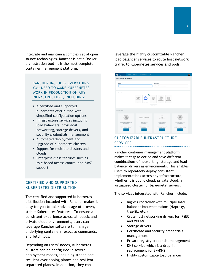integrate and maintain a complex set of open source technologies. Rancher is not a Docker orchestration tool—it is the most complete container management platform.

RANCHER INCLUDES EVERYTHING YOU NEED TO MAKE KUBERNETES WORK IN PRODUCTION ON ANY INFRASTRUCTURE, INCLUDING:

- § A certified and supported Kubernetes distribution with simplified configuration options
- § Infrastructure services including load balancers, cross-host networking, storage drivers, and security credentials management
- § Automated deployment and upgrade of Kubernetes clusters
- § Support for multiple clusters and clouds
- § Enterprise-class features such as role-based access control and 24x7 support

# CERTIFIED AND SUPPORTED KUBERNETES DISTRIBUTION

The certified and supported Kubernetes distribution included with Rancher makes it easy for you to take advantage of proven, stable Kubernetes features. To ensure a consistent experience across all public and private cloud environments, users can leverage Rancher software to manage underlying containers, execute commands, and fetch logs.

Depending on users' needs, Kubernetes clusters can be configured in several deployment modes, including standalone, resilient overlapping planes and resilient separated planes. In addition, they can

leverage the highly customizable Rancher load balancer services to route host network traffic to Kubernetes services and pods.



# CUSTOMIZABLE INFRASTRUCTURE **SERVICES**

Rancher container management platform makes it easy to define and save different combinations of networking, storage and load balancer drivers as environments. This enables users to repeatedly deploy consistent implementations across any infrastructure, whether it is public cloud, private cloud, a virtualized cluster, or bare-metal servers.

The services integrated with Rancher include:

- Ingress controller with multiple load balancer implementations (HAproxy, traefik, etc.)
- Cross-host networking drivers for IPSEC and VXLAN
- Storage drivers
- Certificate and security credentials management
- Private registry credential management
- DNS service which is a drop-in replacement for SkyDNS
- Highly customizable load balancer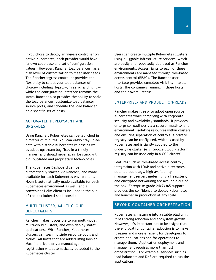If you chose to deploy an ingress controller on native Kubernetes, each provider would have its own code base and set of configuration values. However, Rancher load balancer has a high level of customization to meet user needs. The Rancher ingress controller provides the flexibility to select your load balancer of choice—including HAproxy, Traefik, and nginx while the configuration interface remains the same. Rancher also provides the ability to scale the load balancer, customize load balancer source ports, and schedule the load balancer on a specific set of hosts.

#### AUTOMATED DEPLOYMENT AND UPGRADES

Using Rancher, Kubernetes can be launched in a matter of minutes. You can easily stay up-todate with a stable Kubernetes release as well as adopt upstream bug fixes in a timely manner, and should never again be stuck with old, outdated and proprietary technologies.

The Kubernetes Dashboard can be automatically started via Rancher, and made available for each Kubernetes environment. Helm is automatically made available for each Kubernetes environment as well, and a convenient Helm client is included in the outof-the-box kubectl shell console.

### MULTI-CLUSTER, MULTI-CLOUD **DEPLOYMENTS**

Rancher makes it possible to run multi-node, multi-cloud clusters, and even deploy stateful applications. With Rancher, Kubernetes clusters can span multiple resource pools and clouds. All hosts that are added using Docker Machine drivers or via manual agent registration will automatically be added to the Kubernetes cluster.

Users can create multiple Kubernetes clusters using pluggable infrastructure services, which are easily and repeatedly deployed as Rancher environments. Access rights to each of these environments are managed through role-based access control (RBAC). The Rancher user interface provides complete visibility into all hosts, the containers running in those hosts, and their overall status.

#### ENTERPRISE- AND PRODUCTION-READY

Rancher makes it easy to adopt open source Kubernetes while complying with corporate security and availability standards. It provides enterprise readiness via a secure, multi-tenant environment, isolating resources within clusters and ensuring separation of controls. A private registry can be configured, which is used by Kubernetes and is tightly coupled to the underlying cluster (e.g. Google Cloud Platform registry can be used only in a GCP cluster).

Features such as role-based access control, integration with LDAP and active directories, detailed audit logs, high-availability management server, metering (via Heapster), and encrypted networking are available out of the box. Enterprise-grade 24x7x365 support provides the confidence to deploy Kubernetes and Rancher in production at any scale.

#### **BEYOND CONTAINER ORCHESTRATION**

Kubernetes is maturing into a stable platform. It has strong adoption and ecosystem growth. However, it's important not to lose sight that the end goal for container adoption is to make it easier and more efficient for developers to create applications and for operations to manage them. Application deployment and management requires more than just orchestration. For example, services such as load balancers and DNS are required to run the applications.